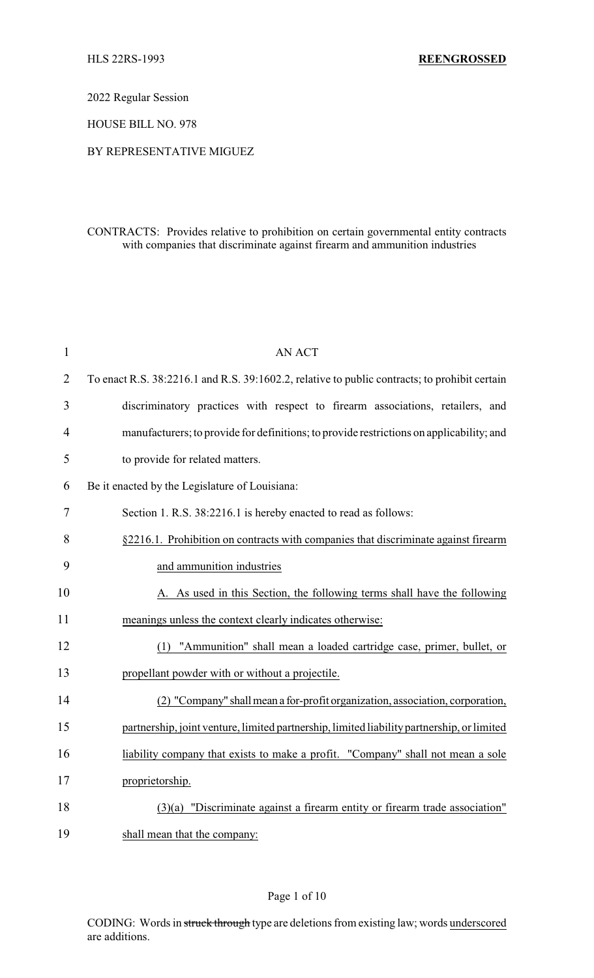2022 Regular Session

HOUSE BILL NO. 978

## BY REPRESENTATIVE MIGUEZ

# CONTRACTS: Provides relative to prohibition on certain governmental entity contracts with companies that discriminate against firearm and ammunition industries

| $\mathbf{1}$   | <b>AN ACT</b>                                                                                 |
|----------------|-----------------------------------------------------------------------------------------------|
| $\overline{2}$ | To enact R.S. 38:2216.1 and R.S. 39:1602.2, relative to public contracts; to prohibit certain |
| 3              | discriminatory practices with respect to firearm associations, retailers, and                 |
| $\overline{4}$ | manufacturers; to provide for definitions; to provide restrictions on applicability; and      |
| 5              | to provide for related matters.                                                               |
| 6              | Be it enacted by the Legislature of Louisiana:                                                |
| 7              | Section 1. R.S. 38:2216.1 is hereby enacted to read as follows:                               |
| 8              | §2216.1. Prohibition on contracts with companies that discriminate against firearm            |
| 9              | and ammunition industries                                                                     |
| 10             | A. As used in this Section, the following terms shall have the following                      |
| 11             | meanings unless the context clearly indicates otherwise:                                      |
| 12             | (1) "Ammunition" shall mean a loaded cartridge case, primer, bullet, or                       |
| 13             | propellant powder with or without a projectile.                                               |
| 14             | (2) "Company" shall mean a for-profit organization, association, corporation,                 |
| 15             | partnership, joint venture, limited partnership, limited liability partnership, or limited    |
| 16             | liability company that exists to make a profit. "Company" shall not mean a sole               |
| 17             | proprietorship.                                                                               |
| 18             | $(3)(a)$ "Discriminate against a firearm entity or firearm trade association"                 |
| 19             | shall mean that the company:                                                                  |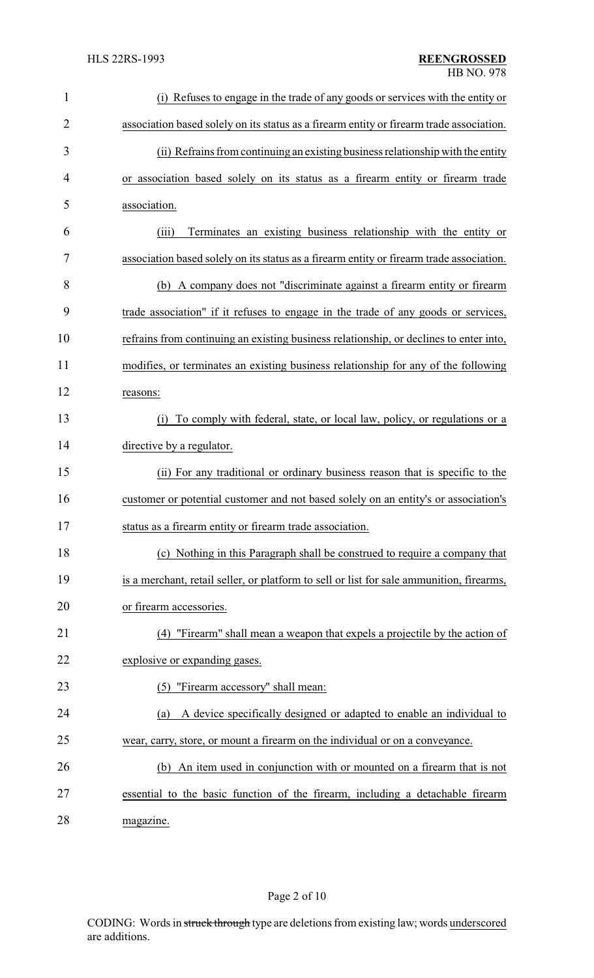| $\mathbf{1}$   | (i) Refuses to engage in the trade of any goods or services with the entity or           |
|----------------|------------------------------------------------------------------------------------------|
| $\overline{2}$ | association based solely on its status as a firearm entity or firearm trade association. |
| 3              | (ii) Refrains from continuing an existing business relationship with the entity          |
| 4              | or association based solely on its status as a firearm entity or firearm trade           |
| 5              | association.                                                                             |
| 6              | Terminates an existing business relationship with the entity or<br>(iii)                 |
| 7              | association based solely on its status as a firearm entity or firearm trade association. |
| 8              | (b) A company does not "discriminate against a firearm entity or firearm                 |
| 9              | trade association" if it refuses to engage in the trade of any goods or services,        |
| 10             | refrains from continuing an existing business relationship, or declines to enter into,   |
| 11             | modifies, or terminates an existing business relationship for any of the following       |
| 12             | reasons:                                                                                 |
| 13             | (i) To comply with federal, state, or local law, policy, or regulations or a             |
| 14             | directive by a regulator.                                                                |
| 15             | (ii) For any traditional or ordinary business reason that is specific to the             |
| 16             | customer or potential customer and not based solely on an entity's or association's      |
| 17             | status as a firearm entity or firearm trade association                                  |
| 18             | (c) Nothing in this Paragraph shall be construed to require a company that               |
| 19             | is a merchant, retail seller, or platform to sell or list for sale ammunition, firearms, |
| 20             | or firearm accessories.                                                                  |
| 21             | (4) "Firearm" shall mean a weapon that expels a projectile by the action of              |
| 22             | explosive or expanding gases.                                                            |
| 23             | (5) "Firearm accessory" shall mean:                                                      |
| 24             | A device specifically designed or adapted to enable an individual to<br>(a)              |
| 25             | wear, carry, store, or mount a firearm on the individual or on a conveyance.             |
| 26             | (b) An item used in conjunction with or mounted on a firearm that is not                 |
| 27             | essential to the basic function of the firearm, including a detachable firearm           |
| 28             | magazine.                                                                                |

Page 2 of 10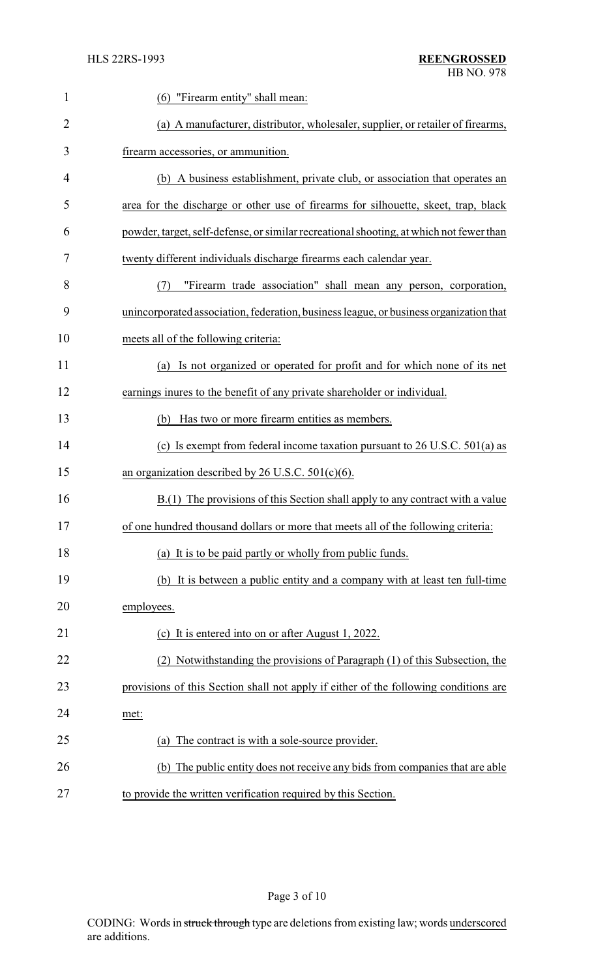| 1              | "Firearm entity" shall mean:<br>(6)                                                     |
|----------------|-----------------------------------------------------------------------------------------|
| $\overline{2}$ | (a) A manufacturer, distributor, wholesaler, supplier, or retailer of firearms,         |
| 3              | firearm accessories, or ammunition.                                                     |
| 4              | (b) A business establishment, private club, or association that operates an             |
| 5              | area for the discharge or other use of firearms for silhouette, skeet, trap, black      |
| 6              | powder, target, self-defense, or similar recreational shooting, at which not fewer than |
| 7              | twenty different individuals discharge firearms each calendar year.                     |
| 8              | "Firearm trade association" shall mean any person, corporation,<br>(7)                  |
| 9              | unincorporated association, federation, business league, or business organization that  |
| 10             | meets all of the following criteria:                                                    |
| 11             | Is not organized or operated for profit and for which none of its net<br>(a)            |
| 12             | earnings inures to the benefit of any private shareholder or individual.                |
| 13             | Has two or more firearm entities as members.<br>(b)                                     |
| 14             | (c) Is exempt from federal income taxation pursuant to $26$ U.S.C. $501(a)$ as          |
| 15             | an organization described by 26 U.S.C. $501(c)(6)$ .                                    |
| 16             | B.(1) The provisions of this Section shall apply to any contract with a value           |
| 17             | of one hundred thousand dollars or more that meets all of the following criteria:       |
| 18             | (a) It is to be paid partly or wholly from public funds.                                |
| 19             | (b) It is between a public entity and a company with at least ten full-time             |
| 20             | employees.                                                                              |
| 21             | (c) It is entered into on or after August 1, 2022.                                      |
| 22             | (2) Notwithstanding the provisions of Paragraph (1) of this Subsection, the             |
| 23             | provisions of this Section shall not apply if either of the following conditions are    |
| 24             | met:                                                                                    |
| 25             | The contract is with a sole-source provider.<br>(a)                                     |
| 26             | (b) The public entity does not receive any bids from companies that are able            |
| 27             | to provide the written verification required by this Section.                           |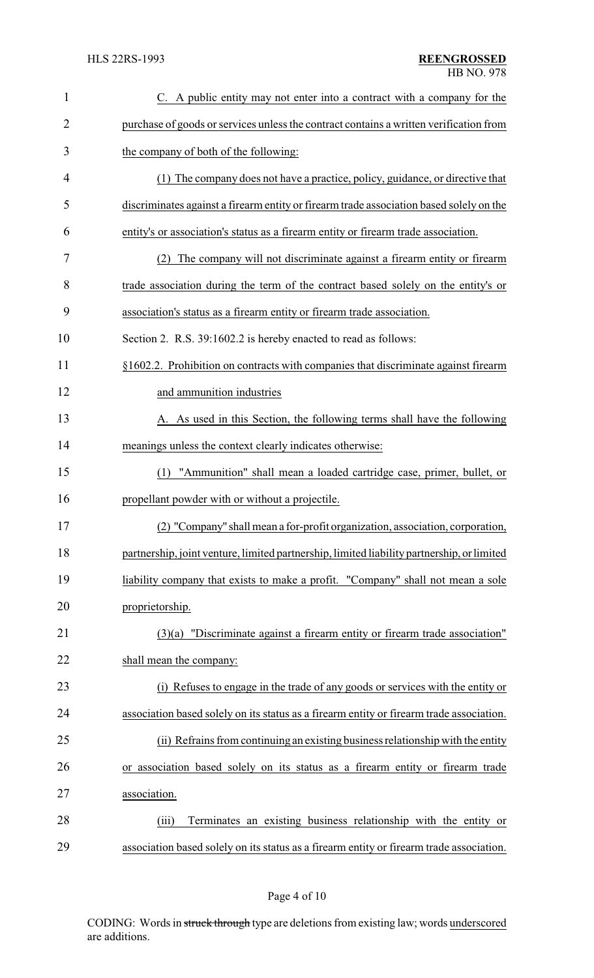| $\mathbf{1}$   | C. A public entity may not enter into a contract with a company for the                    |
|----------------|--------------------------------------------------------------------------------------------|
| $\overline{2}$ | purchase of goods or services unless the contract contains a written verification from     |
| 3              | the company of both of the following:                                                      |
| 4              | (1) The company does not have a practice, policy, guidance, or directive that              |
| 5              | discriminates against a firearm entity or firearm trade association based solely on the    |
| 6              | entity's or association's status as a firearm entity or firearm trade association.         |
| 7              | The company will not discriminate against a firearm entity or firearm<br>(2)               |
| 8              | trade association during the term of the contract based solely on the entity's or          |
| 9              | association's status as a firearm entity or firearm trade association.                     |
| 10             | Section 2. R.S. 39:1602.2 is hereby enacted to read as follows:                            |
| 11             | §1602.2. Prohibition on contracts with companies that discriminate against firearm         |
| 12             | and ammunition industries                                                                  |
| 13             | A. As used in this Section, the following terms shall have the following                   |
| 14             | meanings unless the context clearly indicates otherwise:                                   |
| 15             | "Ammunition" shall mean a loaded cartridge case, primer, bullet, or<br>(1)                 |
| 16             | propellant powder with or without a projectile.                                            |
| 17             | (2) "Company" shall mean a for-profit organization, association, corporation,              |
| 18             | partnership, joint venture, limited partnership, limited liability partnership, or limited |
| 19             | liability company that exists to make a profit. "Company" shall not mean a sole            |
| 20             | proprietorship.                                                                            |
| 21             | $(3)(a)$ "Discriminate against a firearm entity or firearm trade association"              |
| 22             | shall mean the company:                                                                    |
| 23             | (i) Refuses to engage in the trade of any goods or services with the entity or             |
| 24             | association based solely on its status as a firearm entity or firearm trade association.   |
| 25             | (ii) Refrains from continuing an existing business relationship with the entity            |
| 26             | or association based solely on its status as a firearm entity or firearm trade             |
| 27             | association.                                                                               |
| 28             | Terminates an existing business relationship with the entity or<br>(iii)                   |
| 29             | association based solely on its status as a firearm entity or firearm trade association.   |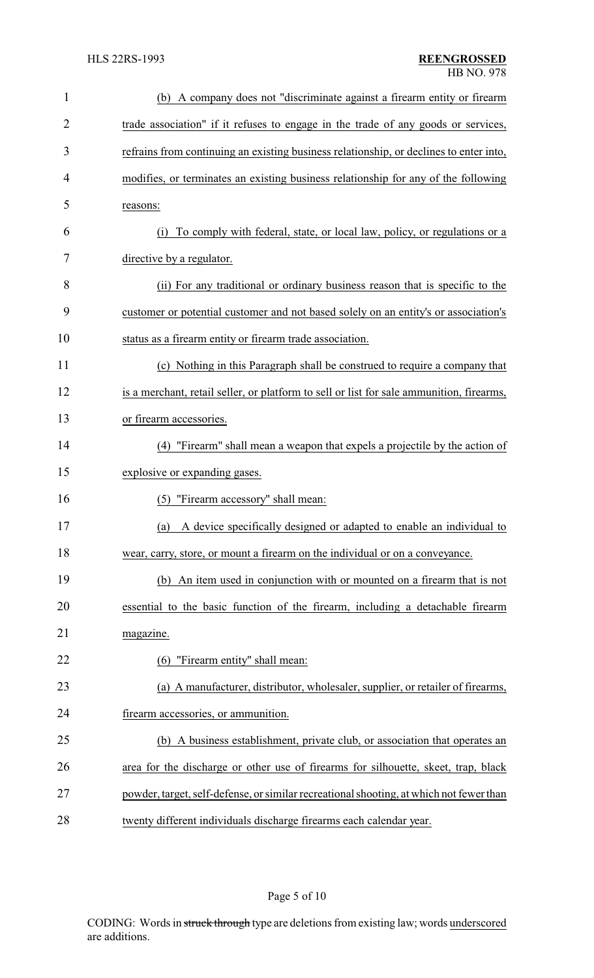| $\mathbf{1}$ | (b) A company does not "discriminate against a firearm entity or firearm                 |
|--------------|------------------------------------------------------------------------------------------|
| 2            | trade association" if it refuses to engage in the trade of any goods or services,        |
| 3            | refrains from continuing an existing business relationship, or declines to enter into,   |
| 4            | modifies, or terminates an existing business relationship for any of the following       |
| 5            | reasons:                                                                                 |
| 6            | To comply with federal, state, or local law, policy, or regulations or a<br>(i)          |
| 7            | directive by a regulator.                                                                |
| 8            | (ii) For any traditional or ordinary business reason that is specific to the             |
| 9            | customer or potential customer and not based solely on an entity's or association's      |
| 10           | status as a firearm entity or firearm trade association.                                 |
| 11           | (c) Nothing in this Paragraph shall be construed to require a company that               |
| 12           | is a merchant, retail seller, or platform to sell or list for sale ammunition, firearms, |
| 13           | or firearm accessories.                                                                  |
| 14           | "Firearm" shall mean a weapon that expels a projectile by the action of<br>(4)           |
| 15           | explosive or expanding gases.                                                            |
| 16           | "Firearm accessory" shall mean:<br>(5)                                                   |
| 17           | (a) A device specifically designed or adapted to enable an individual to                 |
| 18           | wear, carry, store, or mount a firearm on the individual or on a conveyance.             |
| 19           | An item used in conjunction with or mounted on a firearm that is not<br>(b)              |
| 20           | essential to the basic function of the firearm, including a detachable firearm           |
| 21           | magazine.                                                                                |
| 22           | "Firearm entity" shall mean:<br>(6)                                                      |
| 23           | (a) A manufacturer, distributor, wholesaler, supplier, or retailer of firearms,          |
| 24           | firearm accessories, or ammunition.                                                      |
| 25           | (b) A business establishment, private club, or association that operates an              |
| 26           | area for the discharge or other use of firearms for silhouette, skeet, trap, black       |
| 27           | powder, target, self-defense, or similar recreational shooting, at which not fewer than  |
| 28           | twenty different individuals discharge firearms each calendar year.                      |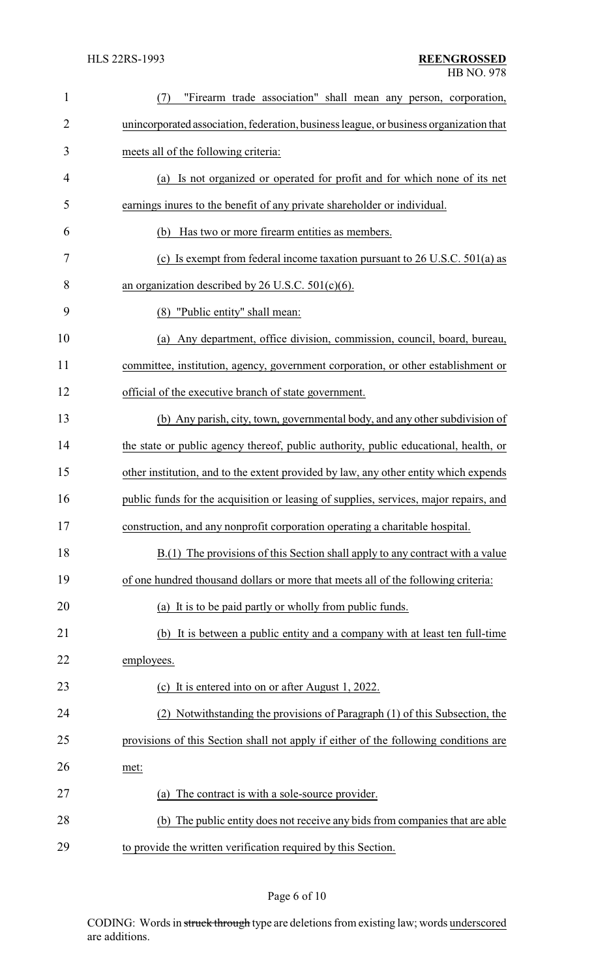| $\mathbf{1}$   | "Firearm trade association" shall mean any person, corporation,<br>(7)                 |
|----------------|----------------------------------------------------------------------------------------|
| $\overline{2}$ | unincorporated association, federation, business league, or business organization that |
| 3              | meets all of the following criteria:                                                   |
| 4              | (a) Is not organized or operated for profit and for which none of its net              |
| 5              | earnings inures to the benefit of any private shareholder or individual.               |
| 6              | Has two or more firearm entities as members.<br>(b)                                    |
| 7              | (c) Is exempt from federal income taxation pursuant to $26$ U.S.C. $501(a)$ as         |
| 8              | an organization described by 26 U.S.C. $501(c)(6)$ .                                   |
| 9              | "Public entity" shall mean:<br>(8)                                                     |
| 10             | (a) Any department, office division, commission, council, board, bureau,               |
| 11             | committee, institution, agency, government corporation, or other establishment or      |
| 12             | official of the executive branch of state government.                                  |
| 13             | (b) Any parish, city, town, governmental body, and any other subdivision of            |
| 14             | the state or public agency thereof, public authority, public educational, health, or   |
| 15             | other institution, and to the extent provided by law, any other entity which expends   |
| 16             | public funds for the acquisition or leasing of supplies, services, major repairs, and  |
| 17             | construction, and any nonprofit corporation operating a charitable hospital.           |
| 18             | $B(1)$ The provisions of this Section shall apply to any contract with a value         |
| 19             | of one hundred thousand dollars or more that meets all of the following criteria:      |
| 20             | (a) It is to be paid partly or wholly from public funds.                               |
| 21             | (b) It is between a public entity and a company with at least ten full-time            |
| 22             | employees.                                                                             |
| 23             | (c) It is entered into on or after August 1, 2022.                                     |
| 24             | Notwithstanding the provisions of Paragraph (1) of this Subsection, the                |
| 25             | provisions of this Section shall not apply if either of the following conditions are   |
| 26             | met:                                                                                   |
| 27             | The contract is with a sole-source provider.<br>(a)                                    |
| 28             | (b) The public entity does not receive any bids from companies that are able           |
| 29             | to provide the written verification required by this Section.                          |

# Page 6 of 10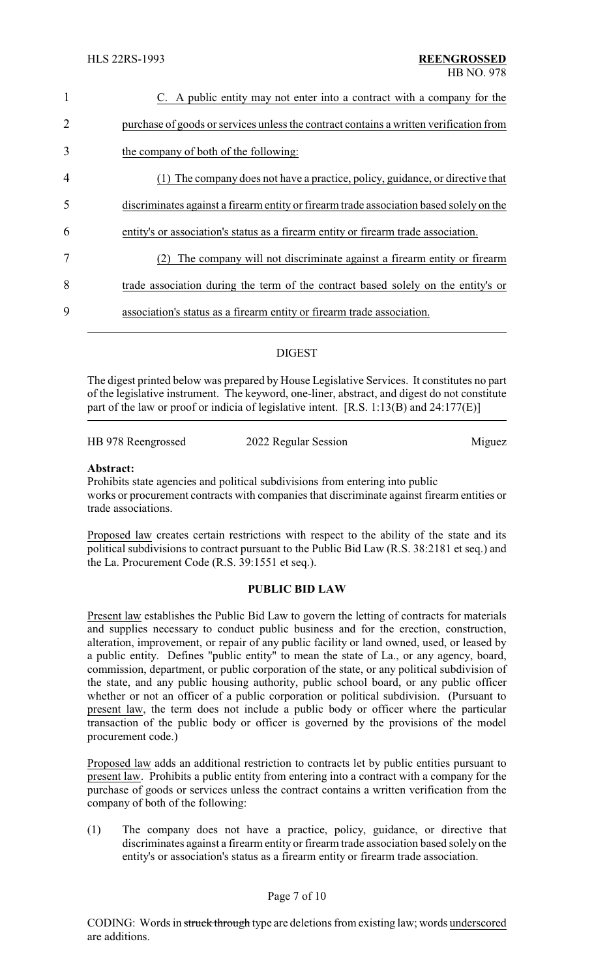| $\mathbf{1}$   | C. A public entity may not enter into a contract with a company for the                 |
|----------------|-----------------------------------------------------------------------------------------|
| 2              | purchase of goods or services unless the contract contains a written verification from  |
| $\overline{3}$ | the company of both of the following:                                                   |
| $\overline{4}$ | The company does not have a practice, policy, guidance, or directive that               |
| 5              | discriminates against a firearm entity or firearm trade association based solely on the |
| 6              | entity's or association's status as a firearm entity or firearm trade association.      |
| $\overline{7}$ | The company will not discriminate against a firearm entity or firearm                   |
| 8              | trade association during the term of the contract based solely on the entity's or       |
| 9              | association's status as a firearm entity or firearm trade association.                  |
|                |                                                                                         |

# DIGEST

The digest printed below was prepared by House Legislative Services. It constitutes no part of the legislative instrument. The keyword, one-liner, abstract, and digest do not constitute part of the law or proof or indicia of legislative intent.  $[R.S. 1:13(B)$  and  $24:177(E)]$ 

HB 978 Reengrossed 2022 Regular Session Miguez

#### **Abstract:**

Prohibits state agencies and political subdivisions from entering into public works or procurement contracts with companies that discriminate against firearm entities or trade associations.

Proposed law creates certain restrictions with respect to the ability of the state and its political subdivisions to contract pursuant to the Public Bid Law (R.S. 38:2181 et seq.) and the La. Procurement Code (R.S. 39:1551 et seq.).

## **PUBLIC BID LAW**

Present law establishes the Public Bid Law to govern the letting of contracts for materials and supplies necessary to conduct public business and for the erection, construction, alteration, improvement, or repair of any public facility or land owned, used, or leased by a public entity. Defines "public entity" to mean the state of La., or any agency, board, commission, department, or public corporation of the state, or any political subdivision of the state, and any public housing authority, public school board, or any public officer whether or not an officer of a public corporation or political subdivision. (Pursuant to present law, the term does not include a public body or officer where the particular transaction of the public body or officer is governed by the provisions of the model procurement code.)

Proposed law adds an additional restriction to contracts let by public entities pursuant to present law. Prohibits a public entity from entering into a contract with a company for the purchase of goods or services unless the contract contains a written verification from the company of both of the following:

(1) The company does not have a practice, policy, guidance, or directive that discriminates against a firearm entity or firearm trade association based solely on the entity's or association's status as a firearm entity or firearm trade association.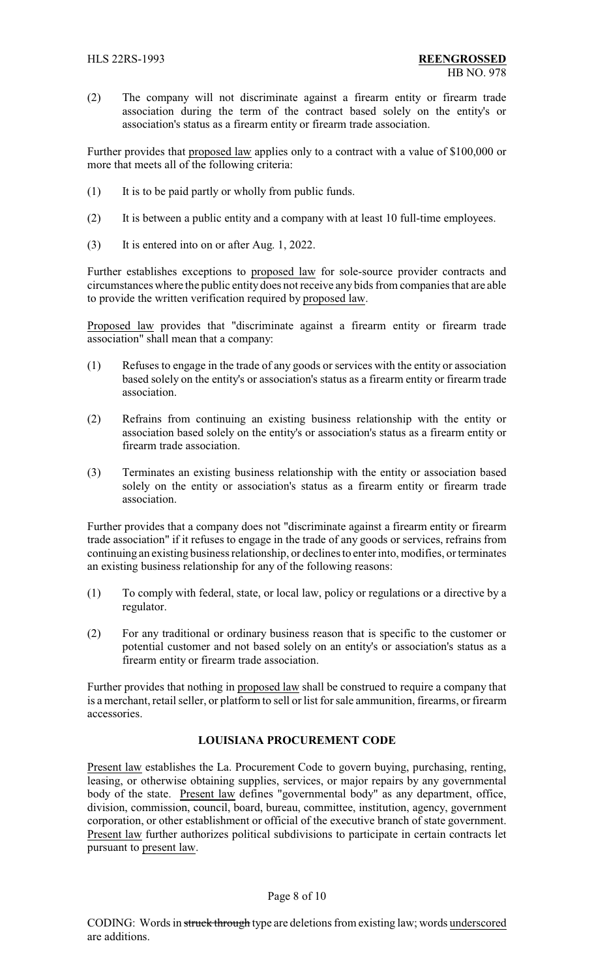(2) The company will not discriminate against a firearm entity or firearm trade association during the term of the contract based solely on the entity's or association's status as a firearm entity or firearm trade association.

Further provides that proposed law applies only to a contract with a value of \$100,000 or more that meets all of the following criteria:

- (1) It is to be paid partly or wholly from public funds.
- (2) It is between a public entity and a company with at least 10 full-time employees.
- (3) It is entered into on or after Aug. 1, 2022.

Further establishes exceptions to proposed law for sole-source provider contracts and circumstances where the public entity does not receive any bids from companies that are able to provide the written verification required by proposed law.

Proposed law provides that "discriminate against a firearm entity or firearm trade association" shall mean that a company:

- (1) Refuses to engage in the trade of any goods or services with the entity or association based solely on the entity's or association's status as a firearm entity or firearm trade association.
- (2) Refrains from continuing an existing business relationship with the entity or association based solely on the entity's or association's status as a firearm entity or firearm trade association.
- (3) Terminates an existing business relationship with the entity or association based solely on the entity or association's status as a firearm entity or firearm trade association.

Further provides that a company does not "discriminate against a firearm entity or firearm trade association" if it refuses to engage in the trade of any goods or services, refrains from continuing an existing business relationship, or declines to enter into, modifies, or terminates an existing business relationship for any of the following reasons:

- (1) To comply with federal, state, or local law, policy or regulations or a directive by a regulator.
- (2) For any traditional or ordinary business reason that is specific to the customer or potential customer and not based solely on an entity's or association's status as a firearm entity or firearm trade association.

Further provides that nothing in proposed law shall be construed to require a company that is a merchant, retail seller, or platform to sell or list for sale ammunition, firearms, or firearm accessories.

## **LOUISIANA PROCUREMENT CODE**

Present law establishes the La. Procurement Code to govern buying, purchasing, renting, leasing, or otherwise obtaining supplies, services, or major repairs by any governmental body of the state. Present law defines "governmental body" as any department, office, division, commission, council, board, bureau, committee, institution, agency, government corporation, or other establishment or official of the executive branch of state government. Present law further authorizes political subdivisions to participate in certain contracts let pursuant to present law.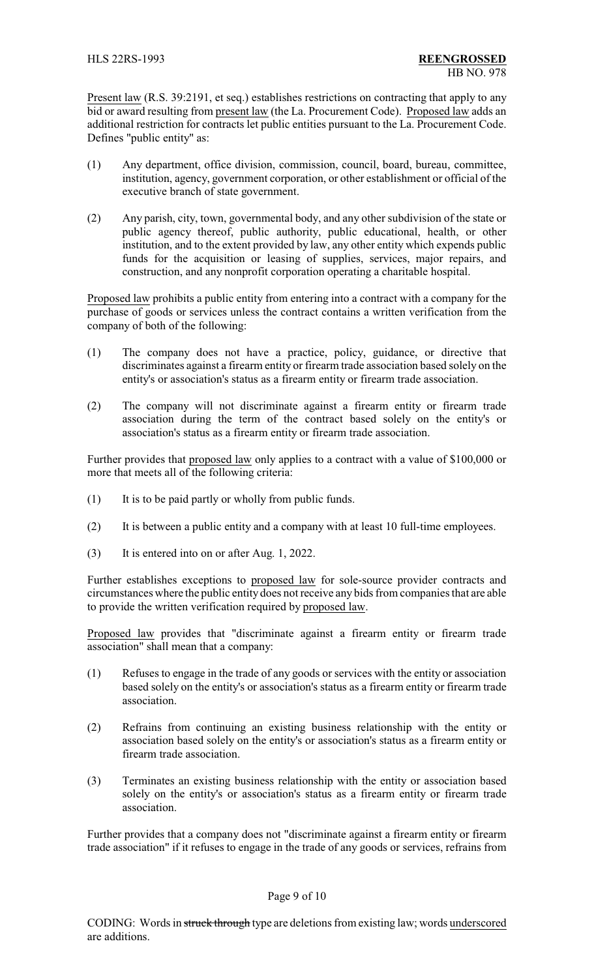Present law (R.S. 39:2191, et seq.) establishes restrictions on contracting that apply to any bid or award resulting from present law (the La. Procurement Code). Proposed law adds an additional restriction for contracts let public entities pursuant to the La. Procurement Code. Defines "public entity" as:

- (1) Any department, office division, commission, council, board, bureau, committee, institution, agency, government corporation, or other establishment or official of the executive branch of state government.
- (2) Any parish, city, town, governmental body, and any other subdivision of the state or public agency thereof, public authority, public educational, health, or other institution, and to the extent provided by law, any other entity which expends public funds for the acquisition or leasing of supplies, services, major repairs, and construction, and any nonprofit corporation operating a charitable hospital.

Proposed law prohibits a public entity from entering into a contract with a company for the purchase of goods or services unless the contract contains a written verification from the company of both of the following:

- (1) The company does not have a practice, policy, guidance, or directive that discriminates against a firearm entity or firearm trade association based solely on the entity's or association's status as a firearm entity or firearm trade association.
- (2) The company will not discriminate against a firearm entity or firearm trade association during the term of the contract based solely on the entity's or association's status as a firearm entity or firearm trade association.

Further provides that proposed law only applies to a contract with a value of \$100,000 or more that meets all of the following criteria:

- (1) It is to be paid partly or wholly from public funds.
- (2) It is between a public entity and a company with at least 10 full-time employees.
- (3) It is entered into on or after Aug. 1, 2022.

Further establishes exceptions to proposed law for sole-source provider contracts and circumstances where the public entity does not receive any bids from companies that are able to provide the written verification required by proposed law.

Proposed law provides that "discriminate against a firearm entity or firearm trade association" shall mean that a company:

- (1) Refuses to engage in the trade of any goods or services with the entity or association based solely on the entity's or association's status as a firearm entity or firearm trade association.
- (2) Refrains from continuing an existing business relationship with the entity or association based solely on the entity's or association's status as a firearm entity or firearm trade association.
- (3) Terminates an existing business relationship with the entity or association based solely on the entity's or association's status as a firearm entity or firearm trade association.

Further provides that a company does not "discriminate against a firearm entity or firearm trade association" if it refuses to engage in the trade of any goods or services, refrains from

## Page 9 of 10